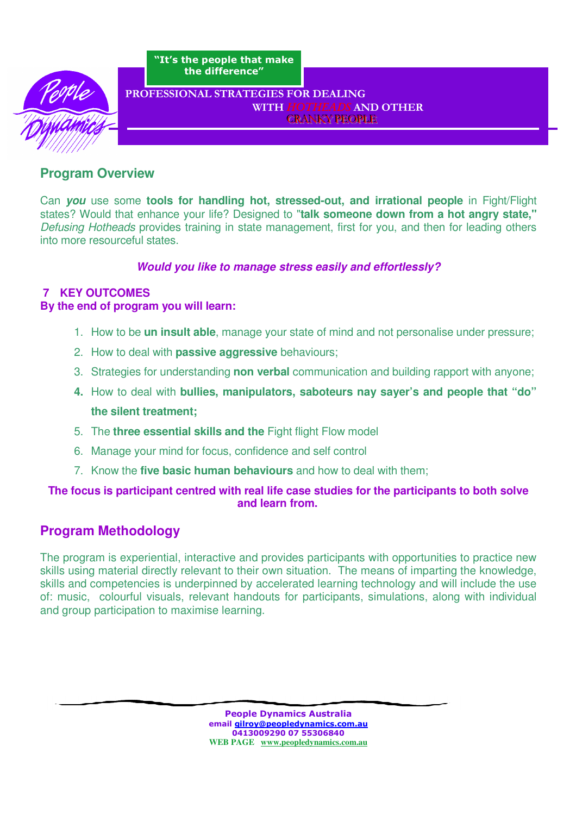

"It's the people that make the difference"

#### PROFESSIONAL STRATEGIES FOR DEALING WITH HOTHEADS AND OTHER CRANKY PEOPLE

# **Program Overview**

Can **you** use some **tools for handling hot, stressed-out, and irrational people** in Fight/Flight states? Would that enhance your life? Designed to "**talk someone down from a hot angry state,"** Defusing Hotheads provides training in state management, first for you, and then for leading others into more resourceful states.

### **Would you like to manage stress easily and effortlessly?**

# **7 KEY OUTCOMES**

### **By the end of program you will learn:**

- 1. How to be **un insult able**, manage your state of mind and not personalise under pressure;
- 2. How to deal with **passive aggressive** behaviours;
- 3. Strategies for understanding **non verbal** communication and building rapport with anyone;
- **4.** How to deal with **bullies, manipulators, saboteurs nay sayer's and people that "do" the silent treatment;**
- 5. The **three essential skills and the** Fight flight Flow model
- 6. Manage your mind for focus, confidence and self control
- 7. Know the **five basic human behaviours** and how to deal with them;

# **The focus is participant centred with real life case studies for the participants to both solve and learn from.**

# **Program Methodology**

The program is experiential, interactive and provides participants with opportunities to practice new skills using material directly relevant to their own situation. The means of imparting the knowledge, skills and competencies is underpinned by accelerated learning technology and will include the use of: music, colourful visuals, relevant handouts for participants, simulations, along with individual and group participation to maximise learning.

> People Dynamics Australia email gilroy@peopledynamics.com.au 0413009290 07 55306840 **WEB PAGE www.peopledynamics.com.au**